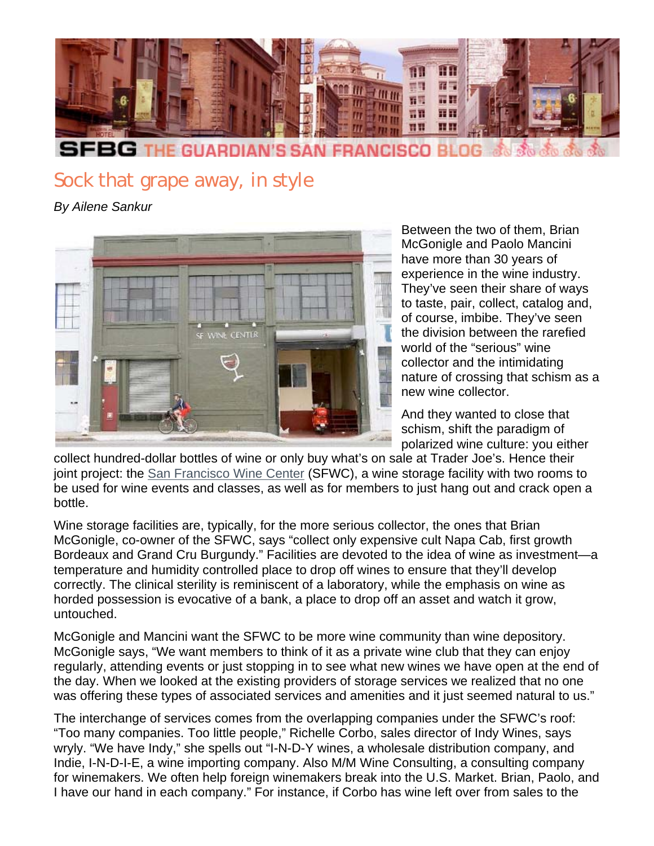

## Sock that grape away, in style

*By Ailene Sankur*



Between the two of them, Brian McGonigle and Paolo Mancini have more than 30 years of experience in the wine industry. They've seen their share of ways to taste, pair, collect, catalog and, of course, imbibe. They've seen the division between the rarefied world of the "serious" wine collector and the intimidating nature of crossing that schism as a new wine collector.

And they wanted to close that schism, shift the paradigm of polarized wine culture: you either

collect hundred-dollar bottles of wine or only buy what's on sale at Trader Joe's. Hence their joint project: the San Francisco Wine Center (SFWC), a wine storage facility with two rooms to be used for wine events and classes, as well as for members to just hang out and crack open a bottle.

Wine storage facilities are, typically, for the more serious collector, the ones that Brian McGonigle, co-owner of the SFWC, says "collect only expensive cult Napa Cab, first growth Bordeaux and Grand Cru Burgundy." Facilities are devoted to the idea of wine as investment—a temperature and humidity controlled place to drop off wines to ensure that they'll develop correctly. The clinical sterility is reminiscent of a laboratory, while the emphasis on wine as horded possession is evocative of a bank, a place to drop off an asset and watch it grow, untouched.

McGonigle and Mancini want the SFWC to be more wine community than wine depository. McGonigle says, "We want members to think of it as a private wine club that they can enjoy regularly, attending events or just stopping in to see what new wines we have open at the end of the day. When we looked at the existing providers of storage services we realized that no one was offering these types of associated services and amenities and it just seemed natural to us."

The interchange of services comes from the overlapping companies under the SFWC's roof: "Too many companies. Too little people," Richelle Corbo, sales director of Indy Wines, says wryly. "We have Indy," she spells out "I-N-D-Y wines, a wholesale distribution company, and Indie, I-N-D-I-E, a wine importing company. Also M/M Wine Consulting, a consulting company for winemakers. We often help foreign winemakers break into the U.S. Market. Brian, Paolo, and I have our hand in each company." For instance, if Corbo has wine left over from sales to the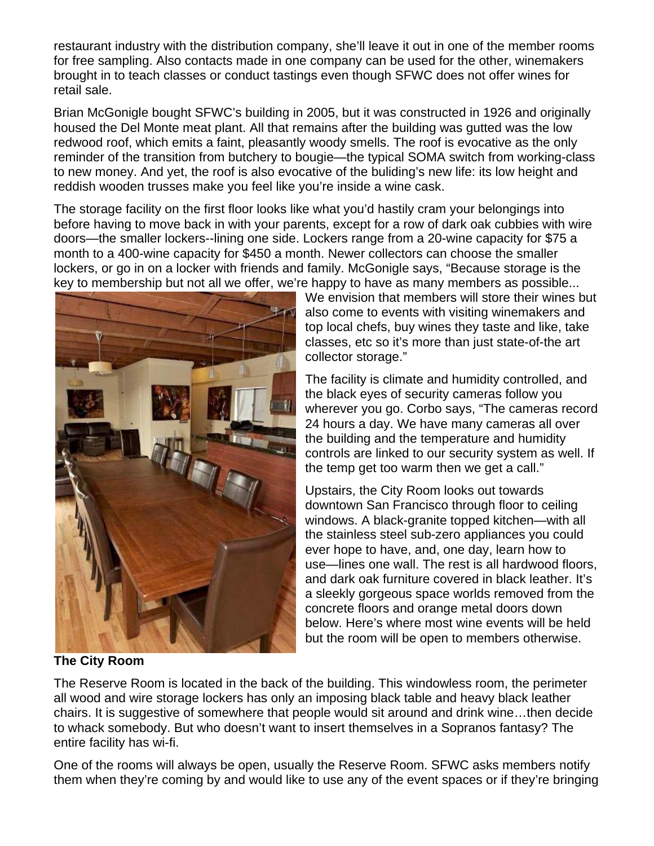restaurant industry with the distribution company, she'll leave it out in one of the member rooms for free sampling. Also contacts made in one company can be used for the other, winemakers brought in to teach classes or conduct tastings even though SFWC does not offer wines for retail sale.

Brian McGonigle bought SFWC's building in 2005, but it was constructed in 1926 and originally housed the Del Monte meat plant. All that remains after the building was gutted was the low redwood roof, which emits a faint, pleasantly woody smells. The roof is evocative as the only reminder of the transition from butchery to bougie—the typical SOMA switch from working-class to new money. And yet, the roof is also evocative of the buliding's new life: its low height and reddish wooden trusses make you feel like you're inside a wine cask.

The storage facility on the first floor looks like what you'd hastily cram your belongings into before having to move back in with your parents, except for a row of dark oak cubbies with wire doors—the smaller lockers--lining one side. Lockers range from a 20-wine capacity for \$75 a month to a 400-wine capacity for \$450 a month. Newer collectors can choose the smaller lockers, or go in on a locker with friends and family. McGonigle says, "Because storage is the key to membership but not all we offer, we're happy to have as many members as possible...



We envision that members will store their wines but also come to events with visiting winemakers and top local chefs, buy wines they taste and like, take classes, etc so it's more than just state-of-the art collector storage."

The facility is climate and humidity controlled, and the black eyes of security cameras follow you wherever you go. Corbo says, "The cameras record 24 hours a day. We have many cameras all over the building and the temperature and humidity controls are linked to our security system as well. If the temp get too warm then we get a call."

Upstairs, the City Room looks out towards downtown San Francisco through floor to ceiling windows. A black-granite topped kitchen—with all the stainless steel sub-zero appliances you could ever hope to have, and, one day, learn how to use—lines one wall. The rest is all hardwood floors, and dark oak furniture covered in black leather. It's a sleekly gorgeous space worlds removed from the concrete floors and orange metal doors down below. Here's where most wine events will be held but the room will be open to members otherwise.

**The City Room**

The Reserve Room is located in the back of the building. This windowless room, the perimeter all wood and wire storage lockers has only an imposing black table and heavy black leather chairs. It is suggestive of somewhere that people would sit around and drink wine…then decide to whack somebody. But who doesn't want to insert themselves in a Sopranos fantasy? The entire facility has wi-fi.

One of the rooms will always be open, usually the Reserve Room. SFWC asks members notify them when they're coming by and would like to use any of the event spaces or if they're bringing